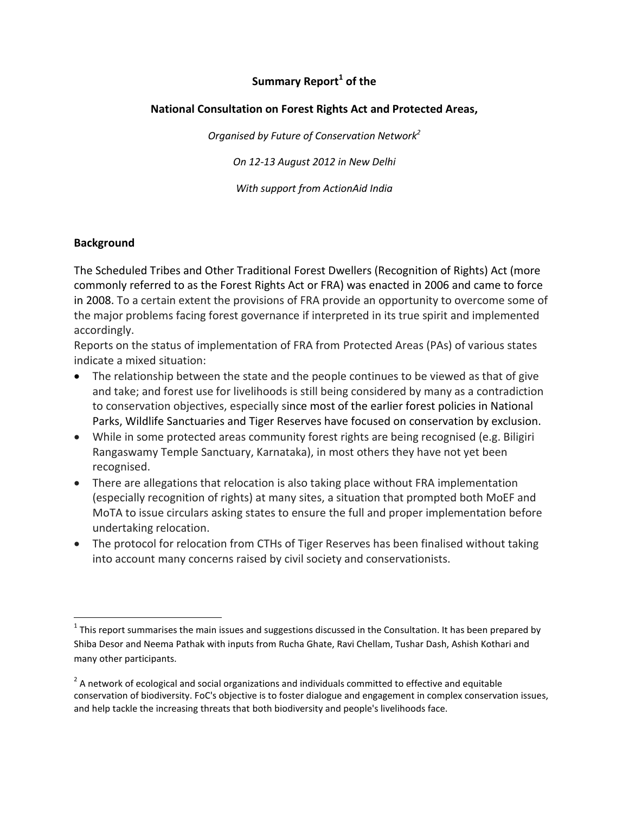# **Summary Report<sup>1</sup> of the**

#### **National Consultation on Forest Rights Act and Protected Areas,**

*Organised by Future of Conservation Network<sup>2</sup>*

*On 12-13 August 2012 in New Delhi*

*With support from ActionAid India*

#### **Background**

 $\overline{\phantom{a}}$ 

The Scheduled Tribes and Other Traditional Forest Dwellers (Recognition of Rights) Act (more commonly referred to as the Forest Rights Act or FRA) was enacted in 2006 and came to force in 2008. To a certain extent the provisions of FRA provide an opportunity to overcome some of the major problems facing forest governance if interpreted in its true spirit and implemented accordingly.

Reports on the status of implementation of FRA from Protected Areas (PAs) of various states indicate a mixed situation:

- The relationship between the state and the people continues to be viewed as that of give and take; and forest use for livelihoods is still being considered by many as a contradiction to conservation objectives, especially since most of the earlier forest policies in National Parks, Wildlife Sanctuaries and Tiger Reserves have focused on conservation by exclusion.
- While in some protected areas community forest rights are being recognised (e.g. Biligiri Rangaswamy Temple Sanctuary, Karnataka), in most others they have not yet been recognised.
- There are allegations that relocation is also taking place without FRA implementation (especially recognition of rights) at many sites, a situation that prompted both MoEF and MoTA to issue circulars asking states to ensure the full and proper implementation before undertaking relocation.
- The protocol for relocation from CTHs of Tiger Reserves has been finalised without taking into account many concerns raised by civil society and conservationists.

 $^1$  This report summarises the main issues and suggestions discussed in the Consultation. It has been prepared by Shiba Desor and Neema Pathak with inputs from Rucha Ghate, Ravi Chellam, Tushar Dash, Ashish Kothari and many other participants.

 $^2$  A network of ecological and social organizations and individuals committed to effective and equitable conservation of biodiversity. FoC's objective is to foster dialogue and engagement in complex conservation issues, and help tackle the increasing threats that both biodiversity and people's livelihoods face.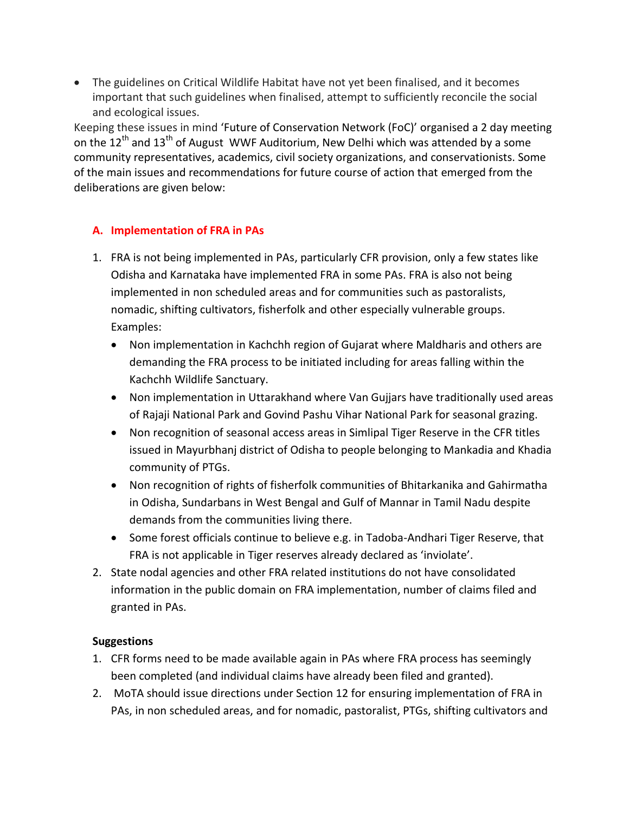The guidelines on Critical Wildlife Habitat have not yet been finalised, and it becomes important that such guidelines when finalised, attempt to sufficiently reconcile the social and ecological issues.

Keeping these issues in mind 'Future of Conservation Network (FoC)' organised a 2 day meeting on the 12<sup>th</sup> and 13<sup>th</sup> of August WWF Auditorium, New Delhi which was attended by a some community representatives, academics, civil society organizations, and conservationists. Some of the main issues and recommendations for future course of action that emerged from the deliberations are given below:

### **A. Implementation of FRA in PAs**

- 1. FRA is not being implemented in PAs, particularly CFR provision, only a few states like Odisha and Karnataka have implemented FRA in some PAs. FRA is also not being implemented in non scheduled areas and for communities such as pastoralists, nomadic, shifting cultivators, fisherfolk and other especially vulnerable groups. Examples:
	- Non implementation in Kachchh region of Gujarat where Maldharis and others are demanding the FRA process to be initiated including for areas falling within the Kachchh Wildlife Sanctuary.
	- Non implementation in Uttarakhand where Van Gujjars have traditionally used areas of Rajaji National Park and Govind Pashu Vihar National Park for seasonal grazing.
	- Non recognition of seasonal access areas in Simlipal Tiger Reserve in the CFR titles issued in Mayurbhanj district of Odisha to people belonging to Mankadia and Khadia community of PTGs.
	- Non recognition of rights of fisherfolk communities of Bhitarkanika and Gahirmatha in Odisha, Sundarbans in West Bengal and Gulf of Mannar in Tamil Nadu despite demands from the communities living there.
	- Some forest officials continue to believe e.g. in Tadoba-Andhari Tiger Reserve, that FRA is not applicable in Tiger reserves already declared as 'inviolate'.
- 2. State nodal agencies and other FRA related institutions do not have consolidated information in the public domain on FRA implementation, number of claims filed and granted in PAs.

### **Suggestions**

- 1. CFR forms need to be made available again in PAs where FRA process has seemingly been completed (and individual claims have already been filed and granted).
- 2. MoTA should issue directions under Section 12 for ensuring implementation of FRA in PAs, in non scheduled areas, and for nomadic, pastoralist, PTGs, shifting cultivators and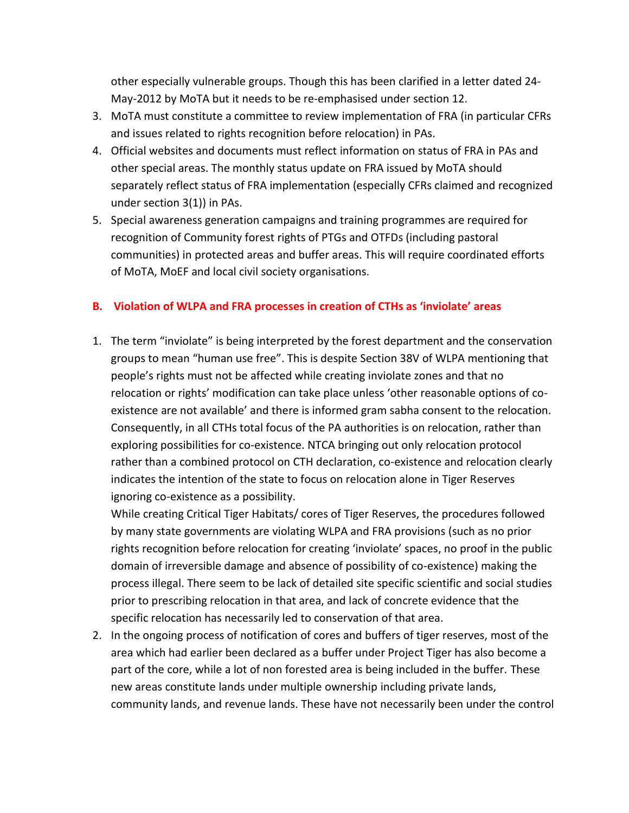other especially vulnerable groups. Though this has been clarified in a letter dated 24- May-2012 by MoTA but it needs to be re-emphasised under section 12.

- 3. MoTA must constitute a committee to review implementation of FRA (in particular CFRs and issues related to rights recognition before relocation) in PAs.
- 4. Official websites and documents must reflect information on status of FRA in PAs and other special areas. The monthly status update on FRA issued by MoTA should separately reflect status of FRA implementation (especially CFRs claimed and recognized under section 3(1)) in PAs.
- 5. Special awareness generation campaigns and training programmes are required for recognition of Community forest rights of PTGs and OTFDs (including pastoral communities) in protected areas and buffer areas. This will require coordinated efforts of MoTA, MoEF and local civil society organisations.

### **B. Violation of WLPA and FRA processes in creation of CTHs as 'inviolate' areas**

1. The term "inviolate" is being interpreted by the forest department and the conservation groups to mean "human use free". This is despite Section 38V of WLPA mentioning that people's rights must not be affected while creating inviolate zones and that no relocation or rights' modification can take place unless 'other reasonable options of coexistence are not available' and there is informed gram sabha consent to the relocation. Consequently, in all CTHs total focus of the PA authorities is on relocation, rather than exploring possibilities for co-existence. NTCA bringing out only relocation protocol rather than a combined protocol on CTH declaration, co-existence and relocation clearly indicates the intention of the state to focus on relocation alone in Tiger Reserves ignoring co-existence as a possibility.

While creating Critical Tiger Habitats/ cores of Tiger Reserves, the procedures followed by many state governments are violating WLPA and FRA provisions (such as no prior rights recognition before relocation for creating 'inviolate' spaces, no proof in the public domain of irreversible damage and absence of possibility of co-existence) making the process illegal. There seem to be lack of detailed site specific scientific and social studies prior to prescribing relocation in that area, and lack of concrete evidence that the specific relocation has necessarily led to conservation of that area.

2. In the ongoing process of notification of cores and buffers of tiger reserves, most of the area which had earlier been declared as a buffer under Project Tiger has also become a part of the core, while a lot of non forested area is being included in the buffer. These new areas constitute lands under multiple ownership including private lands, community lands, and revenue lands. These have not necessarily been under the control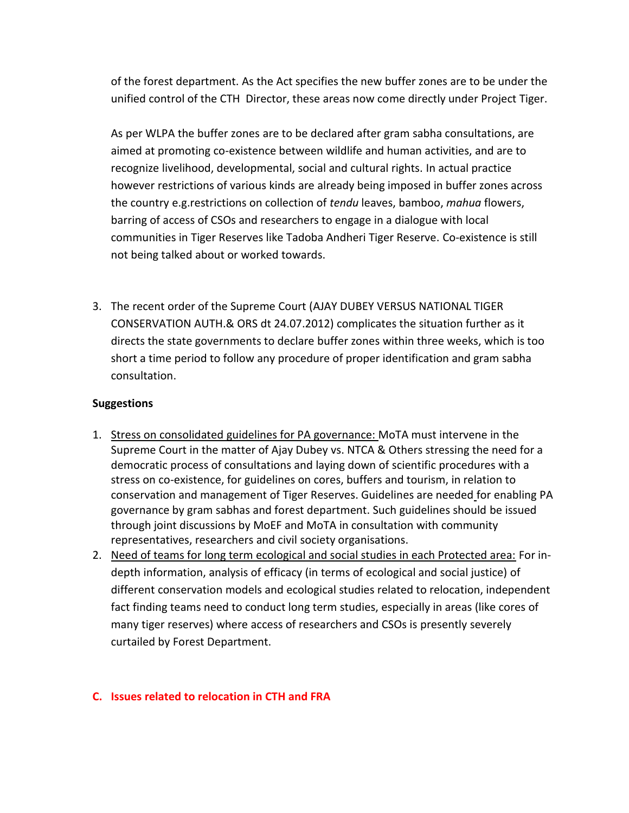of the forest department. As the Act specifies the new buffer zones are to be under the unified control of the CTH Director, these areas now come directly under Project Tiger.

As per WLPA the buffer zones are to be declared after gram sabha consultations, are aimed at promoting co-existence between wildlife and human activities, and are to recognize livelihood, developmental, social and cultural rights. In actual practice however restrictions of various kinds are already being imposed in buffer zones across the country e.g.restrictions on collection of *tendu* leaves, bamboo, *mahua* flowers, barring of access of CSOs and researchers to engage in a dialogue with local communities in Tiger Reserves like Tadoba Andheri Tiger Reserve. Co-existence is still not being talked about or worked towards.

3. The recent order of the Supreme Court (AJAY DUBEY VERSUS NATIONAL TIGER CONSERVATION AUTH.& ORS dt 24.07.2012) complicates the situation further as it directs the state governments to declare buffer zones within three weeks, which is too short a time period to follow any procedure of proper identification and gram sabha consultation.

#### **Suggestions**

- 1. Stress on consolidated guidelines for PA governance: MoTA must intervene in the Supreme Court in the matter of Ajay Dubey vs. NTCA & Others stressing the need for a democratic process of consultations and laying down of scientific procedures with a stress on co-existence, for guidelines on cores, buffers and tourism, in relation to conservation and management of Tiger Reserves. Guidelines are needed for enabling PA governance by gram sabhas and forest department. Such guidelines should be issued through joint discussions by MoEF and MoTA in consultation with community representatives, researchers and civil society organisations.
- 2. Need of teams for long term ecological and social studies in each Protected area: For indepth information, analysis of efficacy (in terms of ecological and social justice) of different conservation models and ecological studies related to relocation, independent fact finding teams need to conduct long term studies, especially in areas (like cores of many tiger reserves) where access of researchers and CSOs is presently severely curtailed by Forest Department.

### **C. Issues related to relocation in CTH and FRA**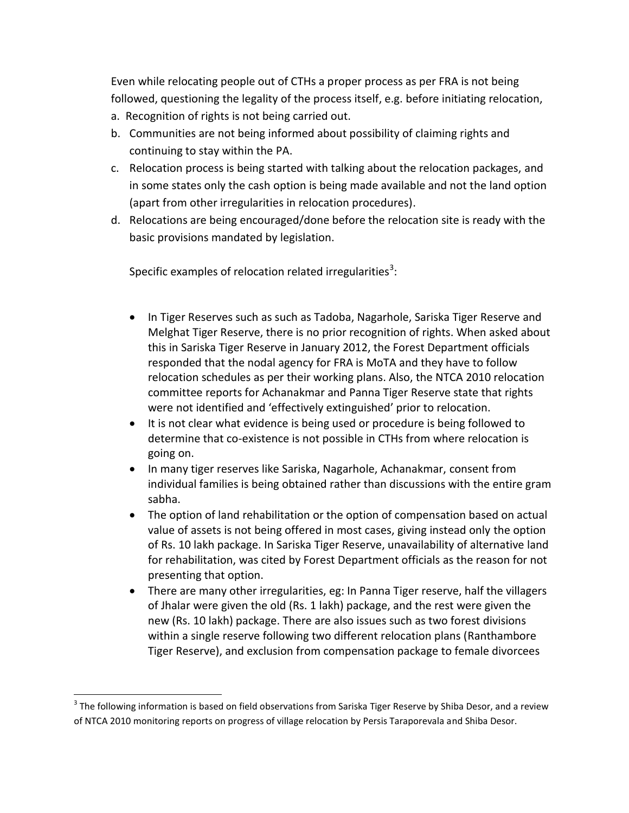Even while relocating people out of CTHs a proper process as per FRA is not being followed, questioning the legality of the process itself, e.g. before initiating relocation,

- a. Recognition of rights is not being carried out.
- b. Communities are not being informed about possibility of claiming rights and continuing to stay within the PA.
- c. Relocation process is being started with talking about the relocation packages, and in some states only the cash option is being made available and not the land option (apart from other irregularities in relocation procedures).
- d. Relocations are being encouraged/done before the relocation site is ready with the basic provisions mandated by legislation.

Specific examples of relocation related irregularities<sup>3</sup>:

- In Tiger Reserves such as such as Tadoba, Nagarhole, Sariska Tiger Reserve and Melghat Tiger Reserve, there is no prior recognition of rights. When asked about this in Sariska Tiger Reserve in January 2012, the Forest Department officials responded that the nodal agency for FRA is MoTA and they have to follow relocation schedules as per their working plans. Also, the NTCA 2010 relocation committee reports for Achanakmar and Panna Tiger Reserve state that rights were not identified and 'effectively extinguished' prior to relocation.
- It is not clear what evidence is being used or procedure is being followed to determine that co-existence is not possible in CTHs from where relocation is going on.
- In many tiger reserves like Sariska, Nagarhole, Achanakmar, consent from individual families is being obtained rather than discussions with the entire gram sabha.
- The option of land rehabilitation or the option of compensation based on actual value of assets is not being offered in most cases, giving instead only the option of Rs. 10 lakh package. In Sariska Tiger Reserve, unavailability of alternative land for rehabilitation, was cited by Forest Department officials as the reason for not presenting that option.
- There are many other irregularities, eg: In Panna Tiger reserve, half the villagers of Jhalar were given the old (Rs. 1 lakh) package, and the rest were given the new (Rs. 10 lakh) package. There are also issues such as two forest divisions within a single reserve following two different relocation plans (Ranthambore Tiger Reserve), and exclusion from compensation package to female divorcees

 $\overline{\phantom{a}}$ 

 $3$  The following information is based on field observations from Sariska Tiger Reserve by Shiba Desor, and a review of NTCA 2010 monitoring reports on progress of village relocation by Persis Taraporevala and Shiba Desor.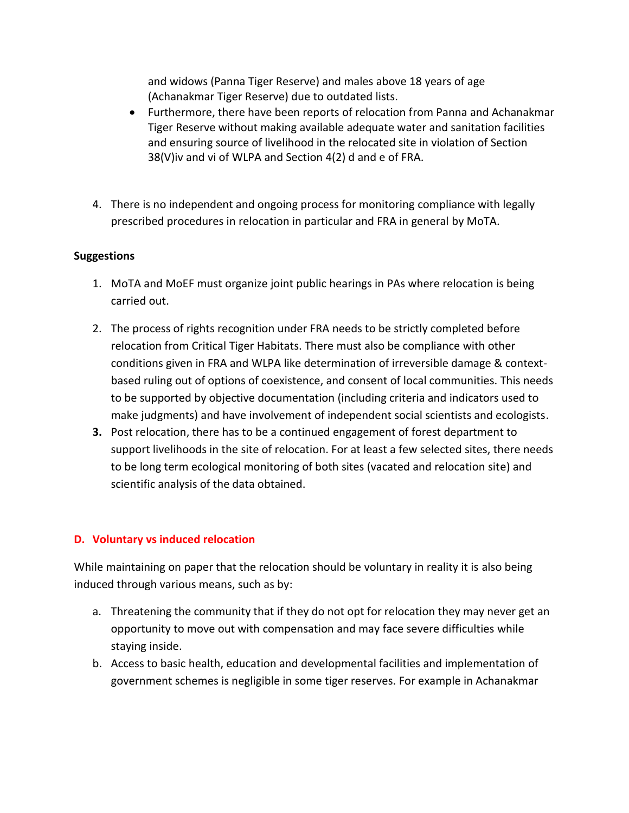and widows (Panna Tiger Reserve) and males above 18 years of age (Achanakmar Tiger Reserve) due to outdated lists.

- Furthermore, there have been reports of relocation from Panna and Achanakmar Tiger Reserve without making available adequate water and sanitation facilities and ensuring source of livelihood in the relocated site in violation of Section 38(V)iv and vi of WLPA and Section 4(2) d and e of FRA.
- 4. There is no independent and ongoing process for monitoring compliance with legally prescribed procedures in relocation in particular and FRA in general by MoTA.

### **Suggestions**

- 1. MoTA and MoEF must organize joint public hearings in PAs where relocation is being carried out.
- 2. The process of rights recognition under FRA needs to be strictly completed before relocation from Critical Tiger Habitats. There must also be compliance with other conditions given in FRA and WLPA like determination of irreversible damage & contextbased ruling out of options of coexistence, and consent of local communities. This needs to be supported by objective documentation (including criteria and indicators used to make judgments) and have involvement of independent social scientists and ecologists.
- **3.** Post relocation, there has to be a continued engagement of forest department to support livelihoods in the site of relocation. For at least a few selected sites, there needs to be long term ecological monitoring of both sites (vacated and relocation site) and scientific analysis of the data obtained.

### **D. Voluntary vs induced relocation**

While maintaining on paper that the relocation should be voluntary in reality it is also being induced through various means, such as by:

- a. Threatening the community that if they do not opt for relocation they may never get an opportunity to move out with compensation and may face severe difficulties while staying inside.
- b. Access to basic health, education and developmental facilities and implementation of government schemes is negligible in some tiger reserves. For example in Achanakmar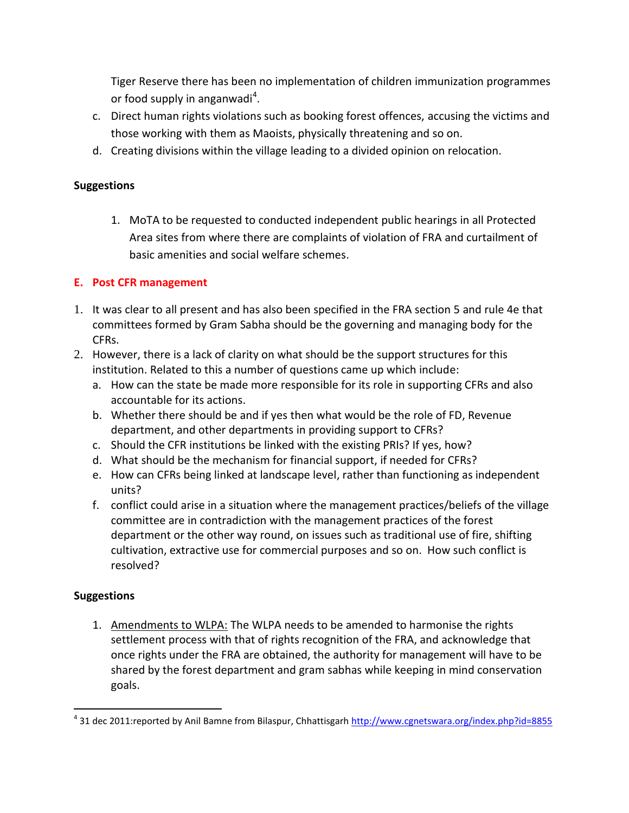Tiger Reserve there has been no implementation of children immunization programmes or food supply in anganwadi<sup>4</sup>.

- c. Direct human rights violations such as booking forest offences, accusing the victims and those working with them as Maoists, physically threatening and so on.
- d. Creating divisions within the village leading to a divided opinion on relocation.

## **Suggestions**

1. MoTA to be requested to conducted independent public hearings in all Protected Area sites from where there are complaints of violation of FRA and curtailment of basic amenities and social welfare schemes.

# **E. Post CFR management**

- 1. It was clear to all present and has also been specified in the FRA section 5 and rule 4e that committees formed by Gram Sabha should be the governing and managing body for the CFRs.
- 2. However, there is a lack of clarity on what should be the support structures for this institution. Related to this a number of questions came up which include:
	- a. How can the state be made more responsible for its role in supporting CFRs and also accountable for its actions.
	- b. Whether there should be and if yes then what would be the role of FD, Revenue department, and other departments in providing support to CFRs?
	- c. Should the CFR institutions be linked with the existing PRIs? If yes, how?
	- d. What should be the mechanism for financial support, if needed for CFRs?
	- e. How can CFRs being linked at landscape level, rather than functioning as independent units?
	- f. conflict could arise in a situation where the management practices/beliefs of the village committee are in contradiction with the management practices of the forest department or the other way round, on issues such as traditional use of fire, shifting cultivation, extractive use for commercial purposes and so on. How such conflict is resolved?

### **Suggestions**

1. Amendments to WLPA: The WLPA needs to be amended to harmonise the rights settlement process with that of rights recognition of the FRA, and acknowledge that once rights under the FRA are obtained, the authority for management will have to be shared by the forest department and gram sabhas while keeping in mind conservation goals.

 4 31 dec 2011:reported by Anil Bamne from Bilaspur, Chhattisgarh<http://www.cgnetswara.org/index.php?id=8855>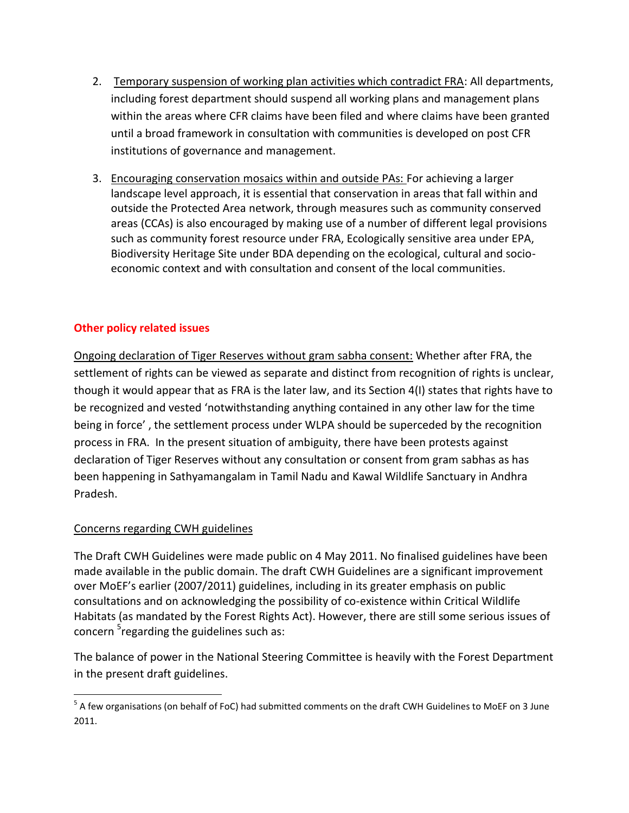- 2. Temporary suspension of working plan activities which contradict FRA: All departments, including forest department should suspend all working plans and management plans within the areas where CFR claims have been filed and where claims have been granted until a broad framework in consultation with communities is developed on post CFR institutions of governance and management.
- 3. Encouraging conservation mosaics within and outside PAs: For achieving a larger landscape level approach, it is essential that conservation in areas that fall within and outside the Protected Area network, through measures such as community conserved areas (CCAs) is also encouraged by making use of a number of different legal provisions such as community forest resource under FRA, Ecologically sensitive area under EPA, Biodiversity Heritage Site under BDA depending on the ecological, cultural and socioeconomic context and with consultation and consent of the local communities.

## **Other policy related issues**

Ongoing declaration of Tiger Reserves without gram sabha consent: Whether after FRA, the settlement of rights can be viewed as separate and distinct from recognition of rights is unclear, though it would appear that as FRA is the later law, and its Section 4(I) states that rights have to be recognized and vested 'notwithstanding anything contained in any other law for the time being in force' , the settlement process under WLPA should be superceded by the recognition process in FRA. In the present situation of ambiguity, there have been protests against declaration of Tiger Reserves without any consultation or consent from gram sabhas as has been happening in Sathyamangalam in Tamil Nadu and Kawal Wildlife Sanctuary in Andhra Pradesh.

### Concerns regarding CWH guidelines

 $\overline{\phantom{a}}$ 

The Draft CWH Guidelines were made public on 4 May 2011. No finalised guidelines have been made available in the public domain. The draft CWH Guidelines are a significant improvement over MoEF's earlier (2007/2011) guidelines, including in its greater emphasis on public consultations and on acknowledging the possibility of co-existence within Critical Wildlife Habitats (as mandated by the Forest Rights Act). However, there are still some serious issues of concern <sup>5</sup>regarding the guidelines such as:

The balance of power in the National Steering Committee is heavily with the Forest Department in the present draft guidelines.

<sup>&</sup>lt;sup>5</sup> A few organisations (on behalf of FoC) had submitted comments on the draft CWH Guidelines to MoEF on 3 June 2011.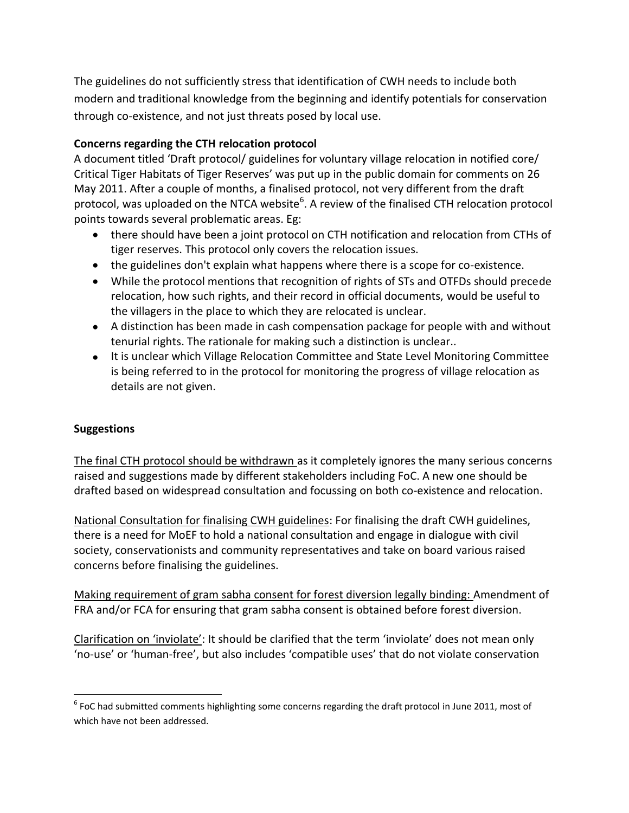The guidelines do not sufficiently stress that identification of CWH needs to include both modern and traditional knowledge from the beginning and identify potentials for conservation through co-existence, and not just threats posed by local use.

# **Concerns regarding the CTH relocation protocol**

A document titled 'Draft protocol/ guidelines for voluntary village relocation in notified core/ Critical Tiger Habitats of Tiger Reserves' was put up in the public domain for comments on 26 May 2011. After a couple of months, a finalised protocol, not very different from the draft protocol, was uploaded on the NTCA website<sup>6</sup>. A review of the finalised CTH relocation protocol points towards several problematic areas. Eg:

- there should have been a joint protocol on CTH notification and relocation from CTHs of tiger reserves. This protocol only covers the relocation issues.
- the guidelines don't explain what happens where there is a scope for co-existence.
- While the protocol mentions that recognition of rights of STs and OTFDs should precede relocation, how such rights, and their record in official documents, would be useful to the villagers in the place to which they are relocated is unclear.
- A distinction has been made in cash compensation package for people with and without tenurial rights. The rationale for making such a distinction is unclear..
- It is unclear which Village Relocation Committee and State Level Monitoring Committee is being referred to in the protocol for monitoring the progress of village relocation as details are not given.

### **Suggestions**

 $\overline{\phantom{a}}$ 

The final CTH protocol should be withdrawn as it completely ignores the many serious concerns raised and suggestions made by different stakeholders including FoC. A new one should be drafted based on widespread consultation and focussing on both co-existence and relocation.

National Consultation for finalising CWH guidelines: For finalising the draft CWH guidelines, there is a need for MoEF to hold a national consultation and engage in dialogue with civil society, conservationists and community representatives and take on board various raised concerns before finalising the guidelines.

Making requirement of gram sabha consent for forest diversion legally binding: Amendment of FRA and/or FCA for ensuring that gram sabha consent is obtained before forest diversion.

Clarification on 'inviolate': It should be clarified that the term 'inviolate' does not mean only 'no-use' or 'human-free', but also includes 'compatible uses' that do not violate conservation

 $^6$  FoC had submitted comments highlighting some concerns regarding the draft protocol in June 2011, most of which have not been addressed.